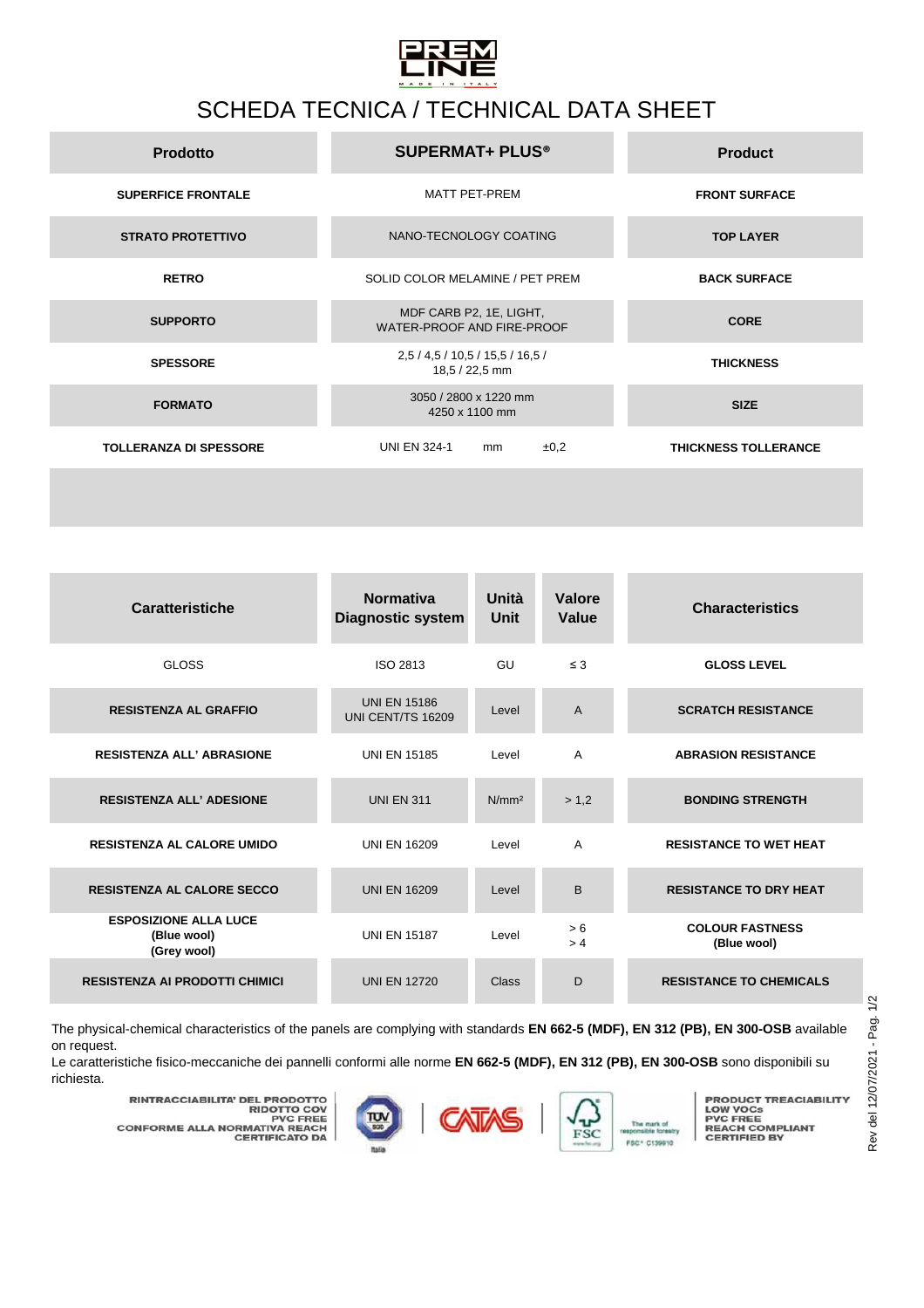

## SCHEDA TECNICA / TECHNICAL DATA SHEET

| <b>Prodotto</b>               | <b>SUPERMAT+ PLUS®</b>                                | <b>Product</b>              |
|-------------------------------|-------------------------------------------------------|-----------------------------|
| <b>SUPERFICE FRONTALE</b>     | MATT PET-PREM                                         | <b>FRONT SURFACE</b>        |
| <b>STRATO PROTETTIVO</b>      | NANO-TECNOLOGY COATING                                | <b>TOP LAYER</b>            |
| <b>RETRO</b>                  | SOLID COLOR MELAMINE / PET PREM                       | <b>BACK SURFACE</b>         |
| <b>SUPPORTO</b>               | MDF CARB P2, 1E, LIGHT,<br>WATER-PROOF AND FIRE-PROOF | <b>CORE</b>                 |
| <b>SPESSORE</b>               | 2,5 / 4,5 / 10,5 / 15,5 / 16,5 /<br>18,5 / 22,5 mm    | <b>THICKNESS</b>            |
| <b>FORMATO</b>                | 3050 / 2800 x 1220 mm<br>4250 x 1100 mm               | <b>SIZE</b>                 |
| <b>TOLLERANZA DI SPESSORE</b> | <b>UNI EN 324-1</b><br>±0,2<br>mm                     | <b>THICKNESS TOLLERANCE</b> |
|                               |                                                       |                             |

| <b>Caratteristiche</b>                                     | <b>Normativa</b><br><b>Diagnostic system</b> | Unità<br><b>Unit</b> | Valore<br>Value | <b>Characteristics</b>                |
|------------------------------------------------------------|----------------------------------------------|----------------------|-----------------|---------------------------------------|
| <b>GLOSS</b>                                               | ISO 2813                                     | GU                   | $\leq$ 3        | <b>GLOSS LEVEL</b>                    |
| <b>RESISTENZA AL GRAFFIO</b>                               | <b>UNI EN 15186</b><br>UNI CENT/TS 16209     | Level                | $\overline{A}$  | <b>SCRATCH RESISTANCE</b>             |
| <b>RESISTENZA ALL' ABRASIONE</b>                           | <b>UNI EN 15185</b>                          | I evel               | $\overline{A}$  | <b>ABRASION RESISTANCE</b>            |
| <b>RESISTENZA ALL' ADESIONE</b>                            | <b>UNI EN 311</b>                            | N/mm <sup>2</sup>    | > 1.2           | <b>BONDING STRENGTH</b>               |
| <b>RESISTENZA AL CALORE UMIDO</b>                          | <b>UNI EN 16209</b>                          | Level                | $\overline{A}$  | <b>RESISTANCE TO WET HEAT</b>         |
| <b>RESISTENZA AL CALORE SECCO</b>                          | <b>UNI EN 16209</b>                          | Level                | B               | <b>RESISTANCE TO DRY HEAT</b>         |
| <b>ESPOSIZIONE ALLA LUCE</b><br>(Blue wool)<br>(Grey wool) | <b>UNI EN 15187</b>                          | Level                | > 6<br>> 4      | <b>COLOUR FASTNESS</b><br>(Blue wool) |
| <b>RESISTENZA AI PRODOTTI CHIMICI</b>                      | <b>UNI EN 12720</b>                          | Class                | D               | <b>RESISTANCE TO CHEMICALS</b>        |

The physical-chemical characteristics of the panels are complying with standards **EN 662-5 (MDF), EN 312 (PB), EN 300-OSB** available on request.

Le caratteristiche fisico-meccaniche dei pannelli conformi alle norme **EN 662-5 (MDF), EN 312 (PB), EN 300-OSB** sono disponibili su richiesta.





**PRODUCT TREACIABILITY<br>PVC FREE<br>PVC FREE<br>REACH COMPLIANT<br>CERTIFIED BY** 

**RINTRACCIABILITA' DEL PRODOTTO<br>PIDOTTO COV<br>PVC FREE<br>CONFORME ALLA NORMATIVA REACH<br>CERTIFICATO DA**